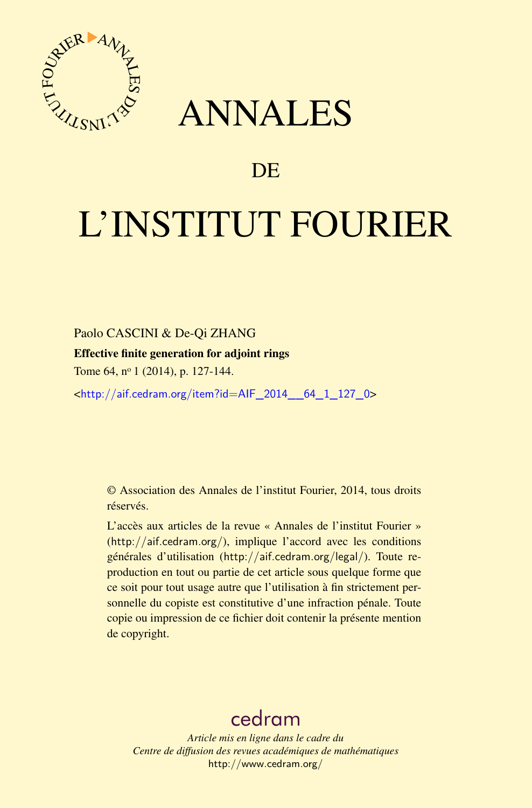

## ANNALES

## **DE**

# L'INSTITUT FOURIER

#### Paolo CASCINI & De-Qi ZHANG

#### Effective finite generation for adjoint rings

Tome 64, nº 1 (2014), p. 127-144.

<[http://aif.cedram.org/item?id=AIF\\_2014\\_\\_64\\_1\\_127\\_0](http://aif.cedram.org/item?id=AIF_2014__64_1_127_0)>

© Association des Annales de l'institut Fourier, 2014, tous droits réservés.

L'accès aux articles de la revue « Annales de l'institut Fourier » (<http://aif.cedram.org/>), implique l'accord avec les conditions générales d'utilisation (<http://aif.cedram.org/legal/>). Toute reproduction en tout ou partie de cet article sous quelque forme que ce soit pour tout usage autre que l'utilisation à fin strictement personnelle du copiste est constitutive d'une infraction pénale. Toute copie ou impression de ce fichier doit contenir la présente mention de copyright.

## [cedram](http://www.cedram.org/)

*Article mis en ligne dans le cadre du Centre de diffusion des revues académiques de mathématiques* <http://www.cedram.org/>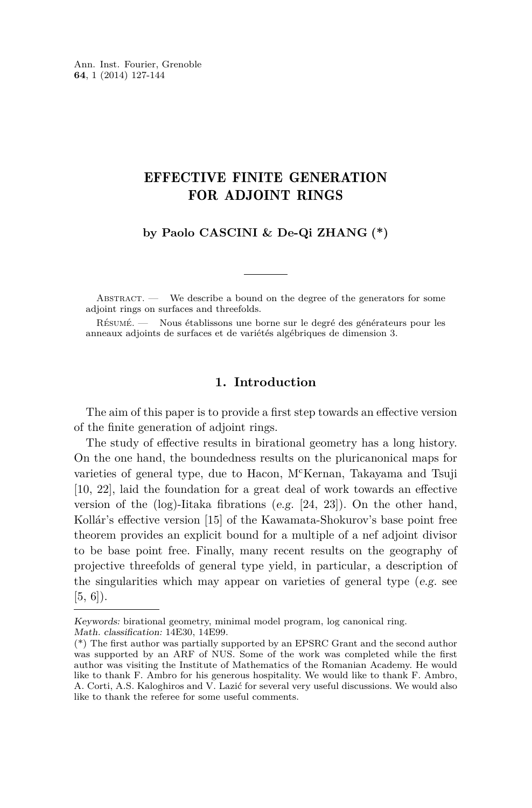### EFFECTIVE FINITE GENERATION FOR ADJOINT RINGS

**by Paolo CASCINI & De-Qi ZHANG (\*)**

ABSTRACT. — We describe a bound on the degree of the generators for some adjoint rings on surfaces and threefolds.

Résumé. — Nous établissons une borne sur le degré des générateurs pour les anneaux adjoints de surfaces et de variétés algébriques de dimension 3.

#### **1. Introduction**

The aim of this paper is to provide a first step towards an effective version of the finite generation of adjoint rings.

The study of effective results in birational geometry has a long history. On the one hand, the boundedness results on the pluricanonical maps for varieties of general type, due to Hacon, M<sup>c</sup>Kernan, Takayama and Tsuji [\[10,](#page-17-0) [22\]](#page-18-0), laid the foundation for a great deal of work towards an effective version of the  $(log)$ -Iitaka fibrations (e.g. [\[24,](#page-18-0) [23\]](#page-18-0)). On the other hand, Kollár's effective version [\[15\]](#page-17-0) of the Kawamata-Shokurov's base point free theorem provides an explicit bound for a multiple of a nef adjoint divisor to be base point free. Finally, many recent results on the geography of projective threefolds of general type yield, in particular, a description of the singularities which may appear on varieties of general type (e.g. see  $[5, 6]$  $[5, 6]$  $[5, 6]$ ).

Keywords: birational geometry, minimal model program, log canonical ring. Math. classification: 14E30, 14E99.

<sup>(\*)</sup> The first author was partially supported by an EPSRC Grant and the second author was supported by an ARF of NUS. Some of the work was completed while the first author was visiting the Institute of Mathematics of the Romanian Academy. He would like to thank F. Ambro for his generous hospitality. We would like to thank F. Ambro, A. Corti, A.S. Kaloghiros and V. Lazić for several very useful discussions. We would also like to thank the referee for some useful comments.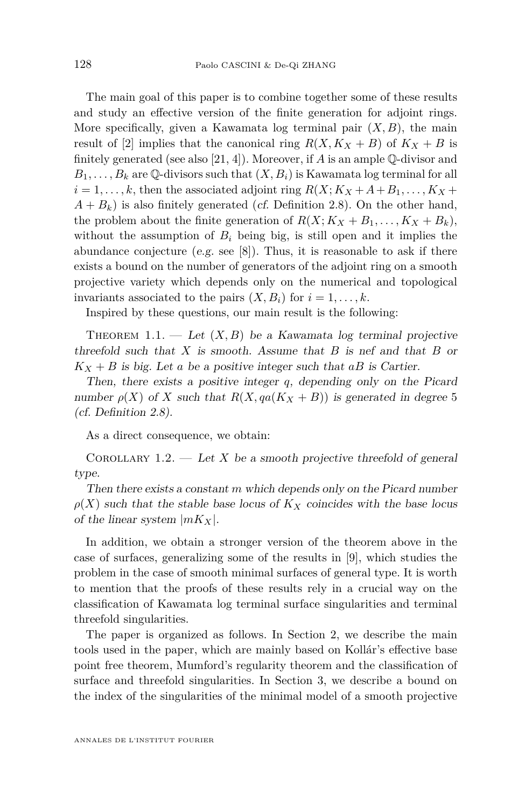<span id="page-2-0"></span>The main goal of this paper is to combine together some of these results and study an effective version of the finite generation for adjoint rings. More specifically, given a Kawamata log terminal pair  $(X, B)$ , the main result of [\[2\]](#page-17-0) implies that the canonical ring  $R(X, K_X + B)$  of  $K_X + B$  is finitely generated (see also [\[21,](#page-17-0) [4\]](#page-17-0)). Moreover, if *A* is an ample Q-divisor and  $B_1, \ldots, B_k$  are Q-divisors such that  $(X, B_i)$  is Kawamata log terminal for all  $i = 1, \ldots, k$ , then the associated adjoint ring  $R(X; K_X + A + B_1, \ldots, K_X + B_2)$  $A + B_k$ ) is also finitely generated (*cf.* Definition [2.8\)](#page-8-0). On the other hand, the problem about the finite generation of  $R(X; K_X + B_1, \ldots, K_X + B_k)$ , without the assumption of  $B_i$  being big, is still open and it implies the abundance conjecture (e.g. see  $[8]$ ). Thus, it is reasonable to ask if there exists a bound on the number of generators of the adjoint ring on a smooth projective variety which depends only on the numerical and topological invariants associated to the pairs  $(X, B_i)$  for  $i = 1, \ldots, k$ .

Inspired by these questions, our main result is the following:

THEOREM 1.1. — Let  $(X, B)$  be a Kawamata log terminal projective threefold such that *X* is smooth. Assume that *B* is nef and that *B* or  $K_X + B$  is big. Let *a* be a positive integer such that *aB* is Cartier.

Then, there exists a positive integer *q*, depending only on the Picard number  $\rho(X)$  of X such that  $R(X, qa(K_X + B))$  is generated in degree 5 (cf. Definition [2.8\)](#page-8-0).

As a direct consequence, we obtain:

COROLLARY 1.2. — Let *X* be a smooth projective threefold of general type.

Then there exists a constant *m* which depends only on the Picard number  $\rho(X)$  such that the stable base locus of  $K_X$  coincides with the base locus of the linear system |*mKX*|.

In addition, we obtain a stronger version of the theorem above in the case of surfaces, generalizing some of the results in [\[9\]](#page-17-0), which studies the problem in the case of smooth minimal surfaces of general type. It is worth to mention that the proofs of these results rely in a crucial way on the classification of Kawamata log terminal surface singularities and terminal threefold singularities.

The paper is organized as follows. In Section [2,](#page-3-0) we describe the main tools used in the paper, which are mainly based on Kollár's effective base point free theorem, Mumford's regularity theorem and the classification of surface and threefold singularities. In Section [3,](#page-11-0) we describe a bound on the index of the singularities of the minimal model of a smooth projective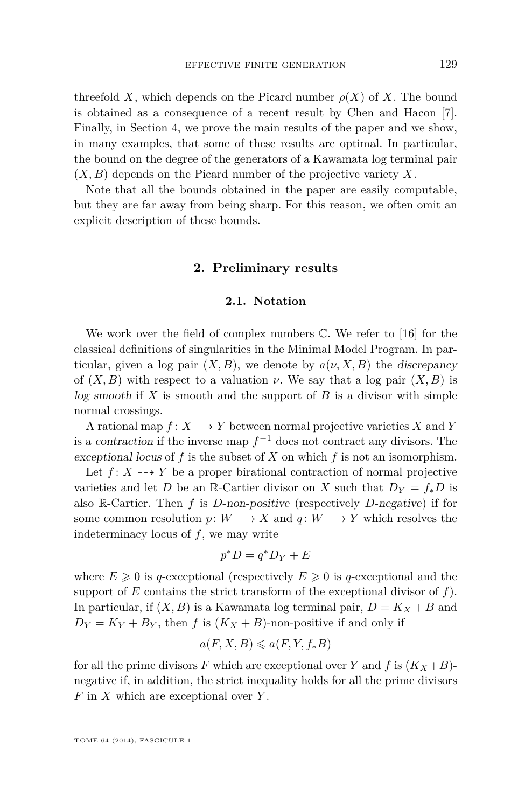<span id="page-3-0"></span>threefold *X*, which depends on the Picard number  $\rho(X)$  of *X*. The bound is obtained as a consequence of a recent result by Chen and Hacon [\[7\]](#page-17-0). Finally, in Section [4,](#page-13-0) we prove the main results of the paper and we show, in many examples, that some of these results are optimal. In particular, the bound on the degree of the generators of a Kawamata log terminal pair (*X, B*) depends on the Picard number of the projective variety *X*.

Note that all the bounds obtained in the paper are easily computable, but they are far away from being sharp. For this reason, we often omit an explicit description of these bounds.

#### **2. Preliminary results**

#### **2.1. Notation**

We work over the field of complex numbers C. We refer to [\[16\]](#page-17-0) for the classical definitions of singularities in the Minimal Model Program. In particular, given a log pair  $(X, B)$ , we denote by  $a(\nu, X, B)$  the discrepancy of  $(X, B)$  with respect to a valuation  $\nu$ . We say that a log pair  $(X, B)$  is log smooth if *X* is smooth and the support of *B* is a divisor with simple normal crossings.

A rational map  $f: X \dashrightarrow Y$  between normal projective varieties *X* and *Y* is a contraction if the inverse map  $f^{-1}$  does not contract any divisors. The exceptional locus of *f* is the subset of *X* on which *f* is not an isomorphism.

Let  $f: X \dashrightarrow Y$  be a proper birational contraction of normal projective varieties and let *D* be an R-Cartier divisor on *X* such that  $D_Y = f_* D$  is also R-Cartier. Then *f* is *D*-non-positive (respectively *D*-negative) if for some common resolution  $p: W \longrightarrow X$  and  $q: W \longrightarrow Y$  which resolves the indeterminacy locus of *f*, we may write

$$
p^*D = q^*D_Y + E
$$

where  $E \geq 0$  is q-exceptional (respectively  $E \geq 0$  is q-exceptional and the support of  $E$  contains the strict transform of the exceptional divisor of  $f$ . In particular, if  $(X, B)$  is a Kawamata log terminal pair,  $D = K_X + B$  and  $D_Y = K_Y + B_Y$ , then *f* is  $(K_X + B)$ -non-positive if and only if

$$
a(F, X, B) \leqslant a(F, Y, f_*B)
$$

for all the prime divisors F which are exceptional over Y and f is  $(K_X+B)$ negative if, in addition, the strict inequality holds for all the prime divisors *F* in *X* which are exceptional over *Y* .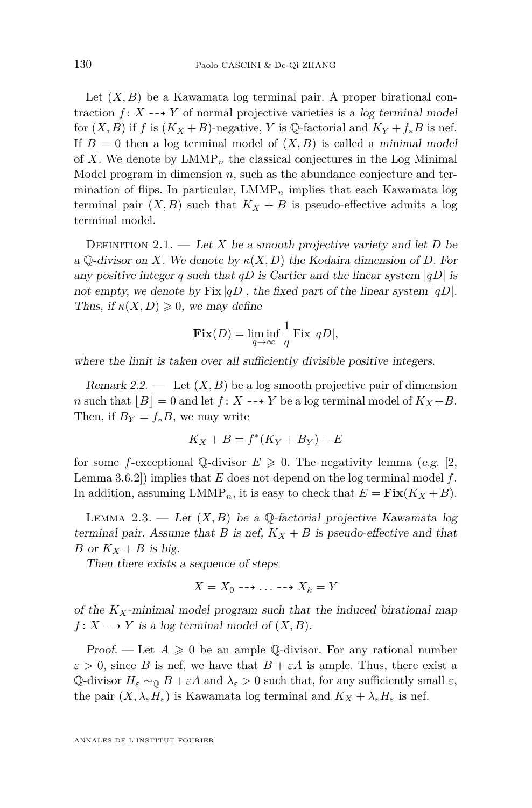<span id="page-4-0"></span>Let  $(X, B)$  be a Kawamata log terminal pair. A proper birational contraction  $f: X \dashrightarrow Y$  of normal projective varieties is a log terminal model for  $(X, B)$  if  $f$  is  $(K_X + B)$ -negative,  $Y$  is  $\mathbb{Q}$ -factorial and  $K_Y + f_* B$  is nef. If  $B = 0$  then a log terminal model of  $(X, B)$  is called a minimal model of X. We denote by  $LMMP_n$  the classical conjectures in the Log Minimal Model program in dimension *n*, such as the abundance conjecture and termination of flips. In particular,  $LMMP_n$  implies that each Kawamata log terminal pair  $(X, B)$  such that  $K_X + B$  is pseudo-effective admits a log terminal model.

DEFINITION 2.1. — Let *X* be a smooth projective variety and let *D* be a  $\mathbb{Q}$ -divisor on *X*. We denote by  $\kappa(X, D)$  the Kodaira dimension of *D*. For any positive integer *q* such that *qD* is Cartier and the linear system  $|qD|$  is not empty, we denote by Fix  $|qD|$ , the fixed part of the linear system  $|qD|$ . Thus, if  $\kappa(X, D) \geq 0$ , we may define

$$
\mathbf{Fix}(D) = \liminf_{q \to \infty} \frac{1}{q} \operatorname{Fix} |qD|,
$$

where the limit is taken over all sufficiently divisible positive integers.

Remark 2.2.  $\qquad$  Let  $(X, B)$  be a log smooth projective pair of dimension *n* such that  $|B| = 0$  and let  $f: X \dashrightarrow Y$  be a log terminal model of  $K_X + B$ . Then, if  $B_Y = f_*B$ , we may write

$$
K_X + B = f^*(K_Y + B_Y) + E
$$

for some *f*-exceptional  $\mathbb{O}-$ divisor  $E \geq 0$ . The negativity lemma (e.g. [\[2,](#page-17-0) Lemma 3.6.2]) implies that *E* does not depend on the log terminal model *f*. In addition, assuming  $LMMP_n$ , it is easy to check that  $E = \textbf{Fix}(K_X + B)$ .

LEMMA 2.3. — Let  $(X, B)$  be a  $\mathbb{O}$ -factorial projective Kawamata log terminal pair. Assume that *B* is nef,  $K_X + B$  is pseudo-effective and that *B* or  $K_X + B$  is big.

Then there exists a sequence of steps

$$
X = X_0 \dashrightarrow \ldots \dashrightarrow X_k = Y
$$

of the  $K_X$ -minimal model program such that the induced birational map  $f: X \dashrightarrow Y$  is a log terminal model of  $(X, B)$ .

Proof. — Let  $A \geq 0$  be an ample Q-divisor. For any rational number  $\varepsilon > 0$ , since *B* is nef, we have that  $B + \varepsilon A$  is ample. Thus, there exist a Q-divisor  $H_{\varepsilon} \sim_{\mathbb{Q}} B + \varepsilon A$  and  $\lambda_{\varepsilon} > 0$  such that, for any sufficiently small  $\varepsilon$ , the pair  $(X, \lambda_{\varepsilon}H_{\varepsilon})$  is Kawamata log terminal and  $K_X + \lambda_{\varepsilon}H_{\varepsilon}$  is nef.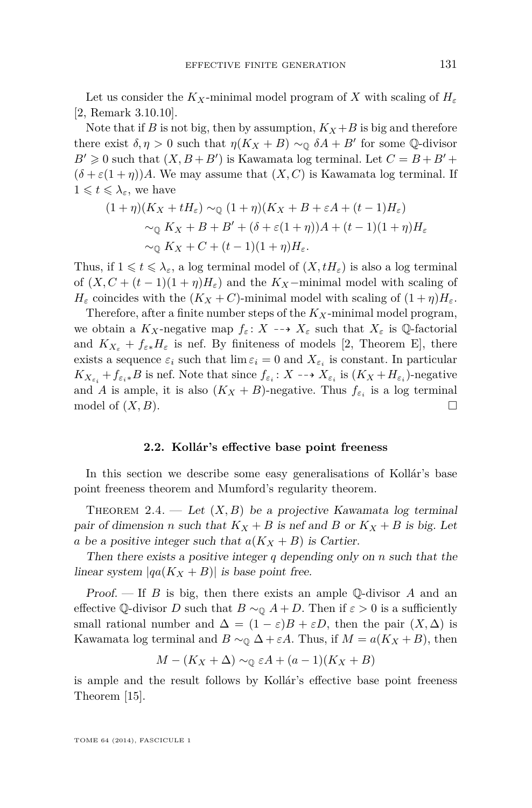<span id="page-5-0"></span>Let us consider the  $K_X$ -minimal model program of X with scaling of  $H_\varepsilon$ [\[2,](#page-17-0) Remark 3.10.10].

Note that if *B* is not big, then by assumption,  $K_X + B$  is big and therefore there exist  $\delta, \eta > 0$  such that  $\eta(K_X + B) \sim_{\mathbb{Q}} \delta A + B'$  for some  $\mathbb{Q}$ -divisor  $B' \geq 0$  such that  $(X, B + B')$  is Kawamata log terminal. Let  $C = B + B' +$  $(\delta + \varepsilon(1 + \eta))A$ . We may assume that  $(X, C)$  is Kawamata log terminal. If  $1 \leqslant t \leqslant \lambda_{\varepsilon}$ , we have

$$
(1+\eta)(K_X + tH_{\varepsilon}) \sim_{\mathbb{Q}} (1+\eta)(K_X + B + \varepsilon A + (t-1)H_{\varepsilon})
$$
  

$$
\sim_{\mathbb{Q}} K_X + B + B' + (\delta + \varepsilon (1+\eta))A + (t-1)(1+\eta)H_{\varepsilon}
$$
  

$$
\sim_{\mathbb{Q}} K_X + C + (t-1)(1+\eta)H_{\varepsilon}.
$$

Thus, if  $1 \leq t \leq \lambda_{\varepsilon}$ , a log terminal model of  $(X, tH_{\varepsilon})$  is also a log terminal of  $(X, C + (t-1)(1+\eta)H_{\varepsilon})$  and the  $K_X$ -minimal model with scaling of *H*<sub>ε</sub> coincides with the  $(K_X + C)$ -minimal model with scaling of  $(1 + \eta)H_{\varepsilon}$ .

Therefore, after a finite number steps of the *KX*-minimal model program, we obtain a  $K_X$ -negative map  $f_{\varepsilon}: X \dashrightarrow X_{\varepsilon}$  such that  $X_{\varepsilon}$  is Q-factorial and  $K_{X_{\varepsilon}} + f_{\varepsilon*}H_{\varepsilon}$  is nef. By finiteness of models [\[2,](#page-17-0) Theorem E], there exists a sequence  $\varepsilon_i$  such that  $\lim \varepsilon_i = 0$  and  $X_{\varepsilon_i}$  is constant. In particular  $K_{X_{\varepsilon_i}} + f_{\varepsilon_i *} B$  is nef. Note that since  $f_{\varepsilon_i}: X \dashrightarrow X_{\varepsilon_i}$  is  $(K_X + H_{\varepsilon_i})$ -negative and *A* is ample, it is also  $(K_X + B)$ -negative. Thus  $f_{\varepsilon_i}$  is a log terminal model of  $(X, B)$ .

#### **2.2. Kollár's effective base point freeness**

In this section we describe some easy generalisations of Kollár's base point freeness theorem and Mumford's regularity theorem.

THEOREM 2.4. — Let  $(X, B)$  be a projective Kawamata log terminal pair of dimension *n* such that  $K_X + B$  is nef and *B* or  $K_X + B$  is big. Let *a* be a positive integer such that  $a(K_X + B)$  is Cartier.

Then there exists a positive integer *q* depending only on *n* such that the linear system  $|qa(K_X + B)|$  is base point free.

Proof. — If *B* is big, then there exists an ample Q-divisor *A* and an effective Q-divisor *D* such that  $B \sim_0 A + D$ . Then if  $\varepsilon > 0$  is a sufficiently small rational number and  $\Delta = (1 - \varepsilon)B + \varepsilon D$ , then the pair  $(X, \Delta)$  is Kawamata log terminal and  $B \sim_{\mathbb{Q}} \Delta + \varepsilon A$ . Thus, if  $M = a(K_X + B)$ , then

$$
M - (K_X + \Delta) \sim_{\mathbb{Q}} \varepsilon A + (a - 1)(K_X + B)
$$

is ample and the result follows by Kollár's effective base point freeness Theorem [\[15\]](#page-17-0).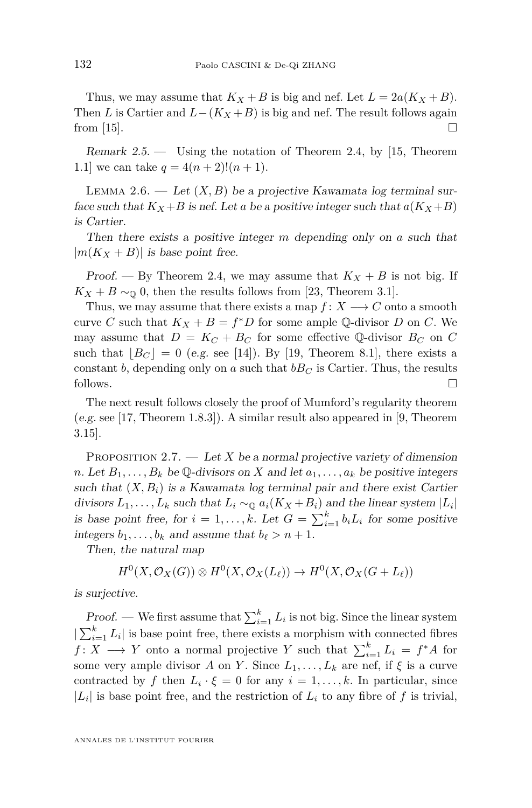<span id="page-6-0"></span>Thus, we may assume that  $K_X + B$  is big and nef. Let  $L = 2a(K_X + B)$ . Then *L* is Cartier and  $L-(K_X+B)$  is big and nef. The result follows again from [\[15\]](#page-17-0).  $\Box$ 

Remark  $2.5$  — Using the notation of Theorem [2.4,](#page-5-0) by [\[15,](#page-17-0) Theorem 1.1] we can take  $q = 4(n+2)!(n+1)$ .

LEMMA 2.6. — Let  $(X, B)$  be a projective Kawamata log terminal surface such that  $K_X + B$  is nef. Let a be a positive integer such that  $a(K_X + B)$ is Cartier.

Then there exists a positive integer *m* depending only on *a* such that  $|m(K_X + B)|$  is base point free.

Proof. — By Theorem [2.4,](#page-5-0) we may assume that  $K_X + B$  is not big. If  $K_X + B \sim 0$ , then the results follows from [\[23,](#page-18-0) Theorem 3.1].

Thus, we may assume that there exists a map  $f: X \longrightarrow C$  onto a smooth curve *C* such that  $K_X + B = f^*D$  for some ample Q-divisor *D* on *C*. We may assume that  $D = K_C + B_C$  for some effective Q-divisor  $B_C$  on C such that  $|B_C| = 0$  (e.g. see [\[14\]](#page-17-0)). By [\[19,](#page-17-0) Theorem 8.1], there exists a constant *b*, depending only on *a* such that  $bB_C$  is Cartier. Thus, the results follows.

The next result follows closely the proof of Mumford's regularity theorem (e.g. see [\[17,](#page-17-0) Theorem 1.8.3]). A similar result also appeared in [\[9,](#page-17-0) Theorem 3.15].

PROPOSITION  $2.7.$  — Let *X* be a normal projective variety of dimension *n*. Let  $B_1, \ldots, B_k$  be Q-divisors on *X* and let  $a_1, \ldots, a_k$  be positive integers such that  $(X, B_i)$  is a Kawamata log terminal pair and there exist Cartier divisors  $L_1, \ldots, L_k$  such that  $L_i \sim_{\mathbb{Q}} a_i(K_X + B_i)$  and the linear system  $|L_i|$ is base point free, for  $i = 1, ..., k$ . Let  $G = \sum_{i=1}^{k} b_i L_i$  for some positive integers  $b_1, \ldots, b_k$  and assume that  $b_\ell > n + 1$ .

Then, the natural map

$$
H^0(X,\mathcal{O}_X(G))\otimes H^0(X,\mathcal{O}_X(L_\ell))\to H^0(X,\mathcal{O}_X(G+L_\ell))
$$

is surjective.

Proof. — We first assume that  $\sum_{i=1}^{k} L_i$  is not big. Since the linear system  $|\sum_{i=1}^{k} L_i|$  is base point free, there exists a morphism with connected fibres *f* : *X* → *Y* onto a normal projective *Y* such that  $\sum_{i=1}^{k} L_i = f^*A$  for some very ample divisor *A* on *Y*. Since  $L_1, \ldots, L_k$  are nef, if  $\xi$  is a curve contracted by *f* then  $L_i \cdot \xi = 0$  for any  $i = 1, \ldots, k$ . In particular, since  $|L_i|$  is base point free, and the restriction of  $L_i$  to any fibre of f is trivial,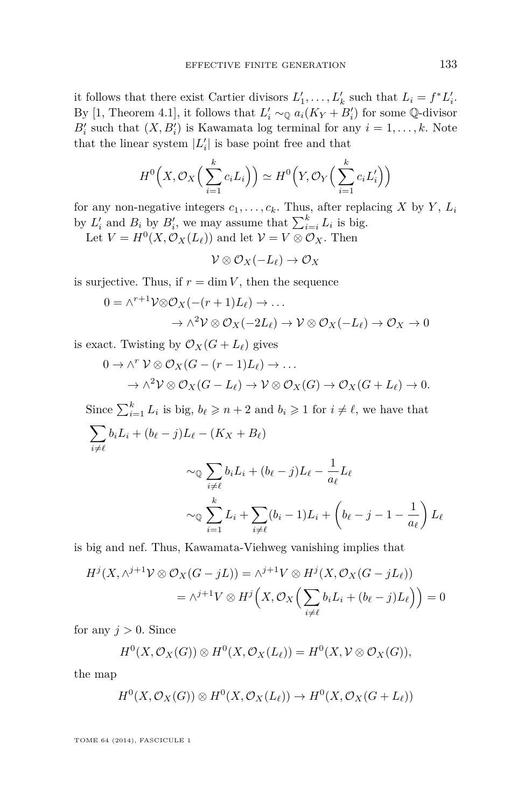it follows that there exist Cartier divisors  $L'_1, \ldots, L'_k$  such that  $L_i = f^*L'_i$ . By [\[1,](#page-17-0) Theorem 4.1], it follows that  $L'_i \sim_{\mathbb{Q}} a_i(K_Y + B'_i)$  for some  $\mathbb{Q}$ -divisor  $B_i'$  such that  $(X, B_i')$  is Kawamata log terminal for any  $i = 1, \ldots, k$ . Note that the linear system  $|L'_i|$  is base point free and that

$$
H^{0}\left(X,\mathcal{O}_{X}\left(\sum_{i=1}^{k}c_{i}L_{i}\right)\right)\simeq H^{0}\left(Y,\mathcal{O}_{Y}\left(\sum_{i=1}^{k}c_{i}L_{i}'\right)\right)
$$

for any non-negative integers  $c_1, \ldots, c_k$ . Thus, after replacing *X* by *Y*,  $L_i$ by  $L'_i$  and  $B_i$  by  $B'_i$ , we may assume that  $\sum_{i=i}^k L_i$  is big.

Let  $V = H^0(X, \mathcal{O}_X(L_\ell))$  and let  $\mathcal{V} = V \otimes \mathcal{O}_X$ . Then

 $V \otimes \mathcal{O}_X(-L_\ell) \to \mathcal{O}_X$ 

is surjective. Thus, if  $r = \dim V$ , then the sequence

$$
0 = \wedge^{r+1} \mathcal{V} \otimes \mathcal{O}_X(-(r+1)L_\ell) \to \dots
$$

$$
\rightarrow \wedge^2 \mathcal{V} \otimes \mathcal{O}_X(-2L_\ell) \rightarrow \mathcal{V} \otimes \mathcal{O}_X(-L_\ell) \rightarrow \mathcal{O}_X \rightarrow 0
$$

is exact. Twisting by  $\mathcal{O}_X(G + L_\ell)$  gives

$$
0 \to \wedge^r \mathcal{V} \otimes \mathcal{O}_X(G - (r-1)L_\ell) \to \dots
$$
  

$$
\to \wedge^2 \mathcal{V} \otimes \mathcal{O}_X(G - L_\ell) \to \mathcal{V} \otimes \mathcal{O}_X(G) \to \mathcal{O}_X(G + L_\ell) \to 0.
$$

Since  $\sum_{i=1}^{k} L_i$  is big,  $b_{\ell} \geqslant n+2$  and  $b_i \geqslant 1$  for  $i \neq \ell$ , we have that  $\sum$  $i{\neq}\ell$  $b_i L_i + (b_{\ell} - j)L_{\ell} - (K_X + B_{\ell})$  $\sim_{\mathbb{Q}}\sum$  $i{\neq}\ell$  $b_i L_i + (b_{\ell} - j)L_{\ell} - \frac{1}{\epsilon}$  $\frac{1}{a_{\ell}}L_{\ell}$  $\sim$ <sup>0</sup> $\sum$ <sup>k</sup>  $(b_i - 1)L_i + (b_{\ell} - j - 1 - \frac{1}{\epsilon})$  $\bigg)$   $L_{\ell}$ 

*i*=1 *i≠*l is big and nef. Thus, Kawamata-Viehweg vanishing implies that

 $L_i + \sum$ 

$$
H^{j}(X, \wedge^{j+1} V \otimes \mathcal{O}_{X}(G-jL)) = \wedge^{j+1} V \otimes H^{j}(X, \mathcal{O}_{X}(G-jL_{\ell}))
$$
  
= 
$$
\wedge^{j+1} V \otimes H^{j}\Big(X, \mathcal{O}_{X}\Big(\sum_{i \neq \ell} b_{i}L_{i} + (b_{\ell} - j)L_{\ell}\Big)\Big) = 0
$$

for any  $j > 0$ . Since

$$
H^0(X, \mathcal{O}_X(G)) \otimes H^0(X, \mathcal{O}_X(L_\ell)) = H^0(X, \mathcal{V} \otimes \mathcal{O}_X(G)),
$$

the map

$$
H^0(X, \mathcal{O}_X(G)) \otimes H^0(X, \mathcal{O}_X(L_\ell)) \to H^0(X, \mathcal{O}_X(G + L_\ell))
$$

TOME 64 (2014), FASCICULE 1

 $a_\ell$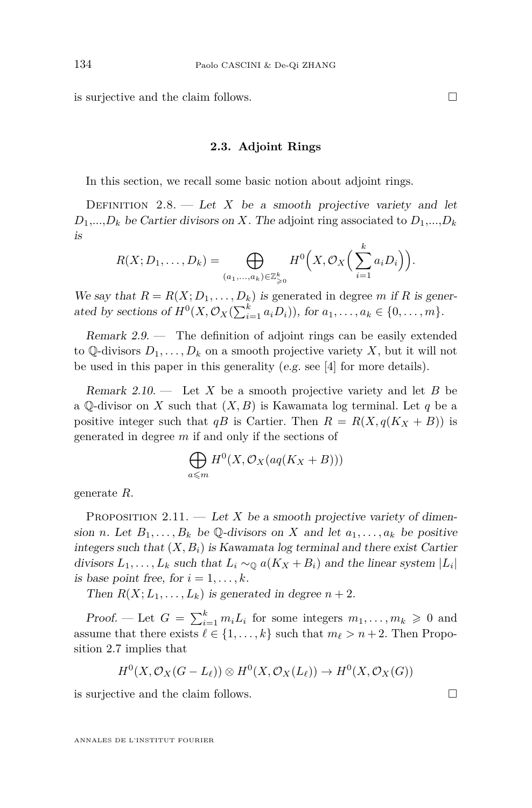<span id="page-8-0"></span>is surjective and the claim follows.

#### **2.3. Adjoint Rings**

In this section, we recall some basic notion about adjoint rings.

DEFINITION  $2.8.$  — Let *X* be a smooth projective variety and let  $D_1$ ,..., $D_k$  be Cartier divisors on *X*. The adjoint ring associated to  $D_1$ ,..., $D_k$ is

$$
R(X; D_1, \ldots, D_k) = \bigoplus_{(a_1, \ldots, a_k) \in \mathbb{Z}_{\geqslant 0}^k} H^0\Big(X, \mathcal{O}_X\Big(\sum_{i=1}^k a_i D_i\Big)\Big).
$$

We say that  $R = R(X; D_1, \ldots, D_k)$  is generated in degree *m* if R is generated by sections of  $H^0(X, \mathcal{O}_X(\sum_{i=1}^k a_i D_i))$ , for  $a_1, \ldots, a_k \in \{0, \ldots, m\}$ .

Remark 2.9. — The definition of adjoint rings can be easily extended to Q-divisors  $D_1, \ldots, D_k$  on a smooth projective variety X, but it will not be used in this paper in this generality (e.g. see [\[4\]](#page-17-0) for more details).

Remark 2.10. — Let *X* be a smooth projective variety and let *B* be a  $\mathbb Q$ -divisor on *X* such that  $(X, B)$  is Kawamata log terminal. Let *q* be a positive integer such that  $qB$  is Cartier. Then  $R = R(X, q(K_X + B))$  is generated in degree *m* if and only if the sections of

$$
\bigoplus_{a\leqslant m} H^0(X,\mathcal{O}_X(aq(K_X+B)))
$$

generate *R*.

PROPOSITION  $2.11.$  — Let *X* be a smooth projective variety of dimension *n*. Let  $B_1, \ldots, B_k$  be Q-divisors on *X* and let  $a_1, \ldots, a_k$  be positive integers such that  $(X, B_i)$  is Kawamata log terminal and there exist Cartier divisors  $L_1, \ldots, L_k$  such that  $L_i \sim_{\mathbb{Q}} a(K_X + B_i)$  and the linear system  $|L_i|$ is base point free, for  $i = 1, \ldots, k$ .

Then  $R(X; L_1, \ldots, L_k)$  is generated in degree  $n+2$ .

Proof. — Let  $G = \sum_{i=1}^{k} m_i L_i$  for some integers  $m_1, \ldots, m_k \geq 0$  and assume that there exists  $\ell \in \{1, \ldots, k\}$  such that  $m_{\ell} > n + 2$ . Then Proposition [2.7](#page-6-0) implies that

$$
H^0(X, \mathcal{O}_X(G-L_\ell)) \otimes H^0(X, \mathcal{O}_X(L_\ell)) \to H^0(X, \mathcal{O}_X(G))
$$

is surjective and the claim follows.  $\Box$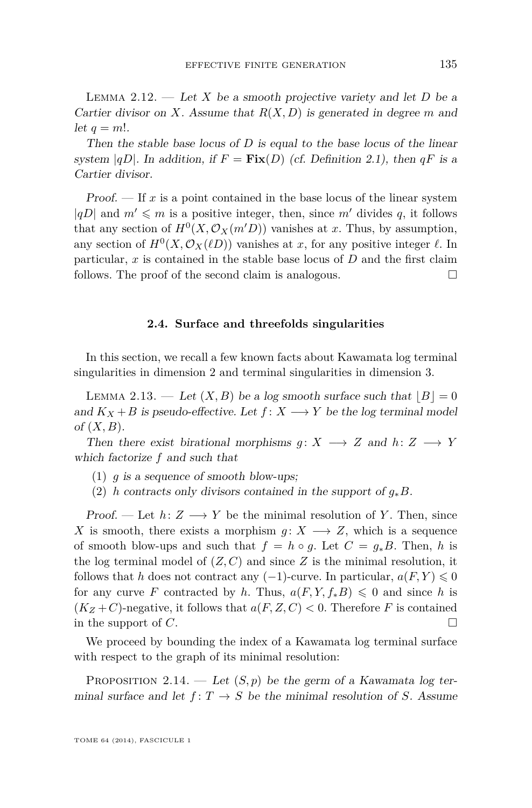<span id="page-9-0"></span>LEMMA 2.12. — Let X be a smooth projective variety and let  $D$  be a Cartier divisor on *X*. Assume that *R*(*X, D*) is generated in degree *m* and let  $q = m!$ .

Then the stable base locus of *D* is equal to the base locus of the linear system  $|qD|$ . In addition, if  $F = Fix(D)$  (cf. Definition [2.1\)](#page-4-0), then  $qF$  is a Cartier divisor.

**Proof.**  $\overline{\phantom{a}}$  If x is a point contained in the base locus of the linear system  $|qD|$  and  $m' \leq m$  is a positive integer, then, since  $m'$  divides q, it follows that any section of  $H^0(X, \mathcal{O}_X(m'D))$  vanishes at *x*. Thus, by assumption, any section of  $H^0(X, \mathcal{O}_X(\ell D))$  vanishes at *x*, for any positive integer  $\ell$ . In particular, *x* is contained in the stable base locus of *D* and the first claim follows. The proof of the second claim is analogous.

#### **2.4. Surface and threefolds singularities**

In this section, we recall a few known facts about Kawamata log terminal singularities in dimension 2 and terminal singularities in dimension 3.

LEMMA 2.13. — Let  $(X, B)$  be a log smooth surface such that  $|B| = 0$ and  $K_X + B$  is pseudo-effective. Let  $f: X \longrightarrow Y$  be the log terminal model of (*X, B*).

Then there exist birational morphisms  $g: X \longrightarrow Z$  and  $h: Z \longrightarrow Y$ which factorize *f* and such that

- (1) *g* is a sequence of smooth blow-ups;
- (2) *h* contracts only divisors contained in the support of *g*∗*B*.

Proof. — Let  $h: Z \longrightarrow Y$  be the minimal resolution of *Y*. Then, since *X* is smooth, there exists a morphism  $g: X \longrightarrow Z$ , which is a sequence of smooth blow-ups and such that  $f = h \circ g$ . Let  $C = g_* B$ . Then, h is the log terminal model of  $(Z, C)$  and since  $Z$  is the minimal resolution, it follows that *h* does not contract any  $(-1)$ -curve. In particular,  $a(F, Y) \leq 0$ for any curve *F* contracted by *h*. Thus,  $a(F, Y, f_*B) \leq 0$  and since *h* is  $(K_Z + C)$ -negative, it follows that  $a(F, Z, C) < 0$ . Therefore *F* is contained in the support of *C*.

We proceed by bounding the index of a Kawamata log terminal surface with respect to the graph of its minimal resolution:

PROPOSITION 2.14. — Let  $(S, p)$  be the germ of a Kawamata log terminal surface and let  $f: T \to S$  be the minimal resolution of *S*. Assume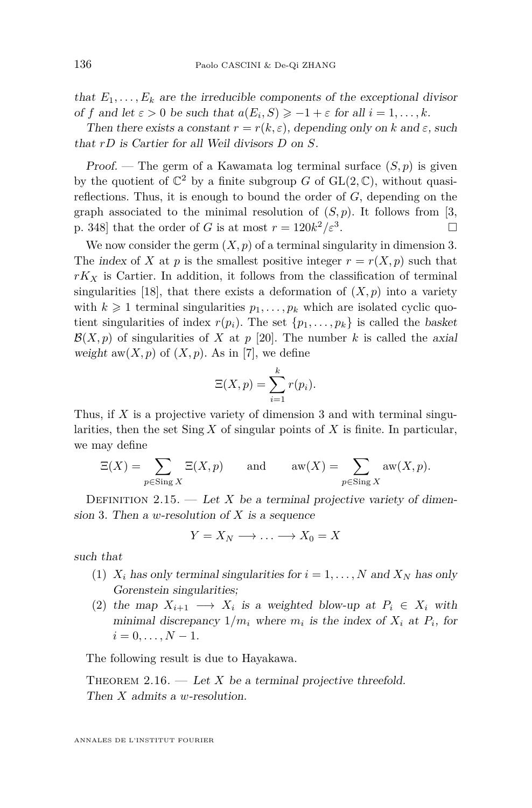that  $E_1, \ldots, E_k$  are the irreducible components of the exceptional divisor of *f* and let  $\varepsilon > 0$  be such that  $a(E_i, S) \ge -1 + \varepsilon$  for all  $i = 1, ..., k$ .

Then there exists a constant  $r = r(k, \varepsilon)$ , depending only on k and  $\varepsilon$ , such that *rD* is Cartier for all Weil divisors *D* on *S*.

Proof. — The germ of a Kawamata log terminal surface  $(S, p)$  is given by the quotient of  $\mathbb{C}^2$  by a finite subgroup *G* of  $GL(2,\mathbb{C})$ , without quasireflections. Thus, it is enough to bound the order of *G*, depending on the graph associated to the minimal resolution of  $(S, p)$ . It follows from [\[3,](#page-17-0) p. 348] that the order of *G* is at most  $r = 120k^2/\varepsilon^3$ . — Первый проста в серверном производительно при в серверном производительно при в серверном при в<br>В серверном при в серверном при в серверном при в серверном при в серверном при в серверном при в серверном пр<br>При в серв

We now consider the germ  $(X, p)$  of a terminal singularity in dimension 3. The index of *X* at *p* is the smallest positive integer  $r = r(X, p)$  such that  $rK_X$  is Cartier. In addition, it follows from the classification of terminal singularities [\[18\]](#page-17-0), that there exists a deformation of  $(X, p)$  into a variety with  $k \geq 1$  terminal singularities  $p_1, \ldots, p_k$  which are isolated cyclic quotient singularities of index  $r(p_i)$ . The set  $\{p_1, \ldots, p_k\}$  is called the basket  $\mathcal{B}(X, p)$  of singularities of X at p [\[20\]](#page-17-0). The number k is called the axial weight  $aw(X, p)$  of  $(X, p)$ . As in [\[7\]](#page-17-0), we define

$$
\Xi(X,p) = \sum_{i=1}^{k} r(p_i).
$$

Thus, if *X* is a projective variety of dimension 3 and with terminal singularities, then the set Sing *X* of singular points of *X* is finite. In particular, we may define

$$
\Xi(X) = \sum_{p \in \text{Sing } X} \Xi(X, p) \quad \text{and} \quad \text{aw}(X) = \sum_{p \in \text{Sing } X} \text{aw}(X, p).
$$

DEFINITION 2.15. — Let *X* be a terminal projective variety of dimension 3. Then a *w*-resolution of *X* is a sequence

$$
Y = X_N \longrightarrow \dots \longrightarrow X_0 = X
$$

such that

- (1)  $X_i$  has only terminal singularities for  $i = 1, \ldots, N$  and  $X_N$  has only Gorenstein singularities;
- (2) the map  $X_{i+1} \longrightarrow X_i$  is a weighted blow-up at  $P_i \in X_i$  with minimal discrepancy  $1/m_i$  where  $m_i$  is the index of  $X_i$  at  $P_i$ , for  $i = 0, \ldots, N - 1.$

The following result is due to Hayakawa.

THEOREM 2.16.  $\qquad$  Let *X* be a terminal projective threefold. Then *X* admits a *w*-resolution.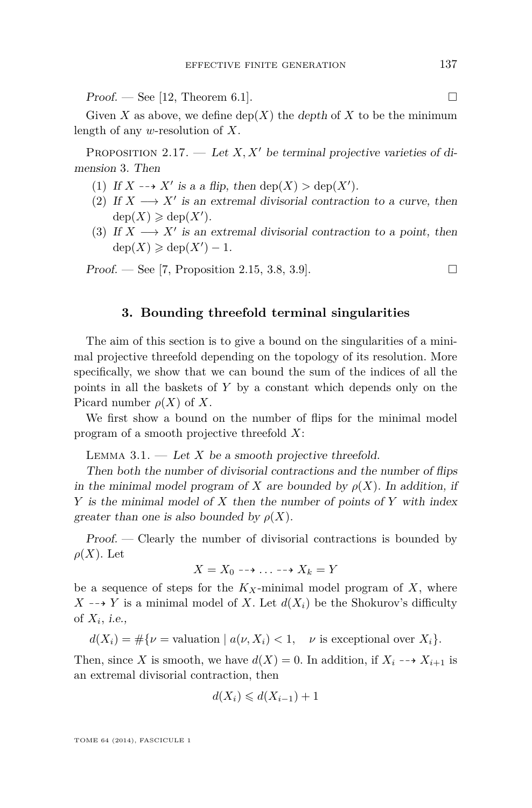<span id="page-11-0"></span> $Proof.$  — See [\[12,](#page-17-0) Theorem 6.1].

Given *X* as above, we define  $\text{dep}(X)$  the depth of *X* to be the minimum length of any *w*-resolution of *X*.

PROPOSITION 2.17. — Let  $X, X'$  be terminal projective varieties of dimension 3. Then

- (1) If  $X \dashrightarrow X'$  is a a flip, then  $\text{dep}(X) > \text{dep}(X')$ .
- (2) If  $X \longrightarrow X'$  is an extremal divisorial contraction to a curve, then  $dep(X) \geqslant dep(X')$ .
- (3) If  $X \longrightarrow X'$  is an extremal divisorial contraction to a point, then  $dep(X) \geqslant dep(X') - 1.$

**Proof.** — See [\[7,](#page-17-0) Proposition 2.15, 3.8, 3.9].

#### **3. Bounding threefold terminal singularities**

The aim of this section is to give a bound on the singularities of a minimal projective threefold depending on the topology of its resolution. More specifically, we show that we can bound the sum of the indices of all the points in all the baskets of *Y* by a constant which depends only on the Picard number  $\rho(X)$  of X.

We first show a bound on the number of flips for the minimal model program of a smooth projective threefold *X*:

LEMMA  $3.1.$  — Let X be a smooth projective threefold.

Then both the number of divisorial contractions and the number of flips in the minimal model program of *X* are bounded by  $\rho(X)$ . In addition, if *Y* is the minimal model of *X* then the number of points of *Y* with index greater than one is also bounded by  $\rho(X)$ .

Proof. — Clearly the number of divisorial contractions is bounded by  $\rho(X)$ . Let

$$
X = X_0 \dashrightarrow \ldots \dashrightarrow X_k = Y
$$

be a sequence of steps for the  $K_X$ -minimal model program of  $X$ , where  $X \rightarrow Y$  is a minimal model of *X*. Let  $d(X_i)$  be the Shokurov's difficulty of  $X_i$ , *i.e.*,

 $d(X_i) = \#\{\nu = \text{valuation} \mid a(\nu, X_i) < 1, \quad \nu \text{ is exceptional over } X_i\}.$ 

Then, since *X* is smooth, we have  $d(X) = 0$ . In addition, if  $X_i \rightarrow X_{i+1}$  is an extremal divisorial contraction, then

$$
d(X_i) \leq d(X_{i-1}) + 1
$$

TOME 64 (2014), FASCICULE 1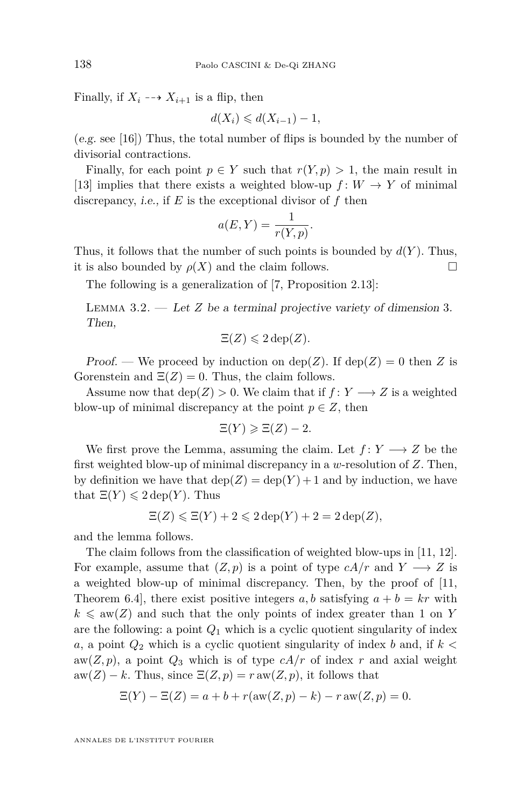Finally, if  $X_i \dashrightarrow X_{i+1}$  is a flip, then

$$
d(X_i) \leq d(X_{i-1}) - 1,
$$

(e.g. see [\[16\]](#page-17-0)) Thus, the total number of flips is bounded by the number of divisorial contractions.

Finally, for each point  $p \in Y$  such that  $r(Y, p) > 1$ , the main result in [\[13\]](#page-17-0) implies that there exists a weighted blow-up  $f: W \to Y$  of minimal discrepancy, i.e., if *E* is the exceptional divisor of *f* then

$$
a(E, Y) = \frac{1}{r(Y, p)}.
$$

Thus, it follows that the number of such points is bounded by  $d(Y)$ . Thus, it is also bounded by  $\rho(X)$  and the claim follows.

The following is a generalization of [\[7,](#page-17-0) Proposition 2.13]:

LEMMA  $3.2.$  — Let *Z* be a terminal projective variety of dimension 3. Then,

$$
\Xi(Z) \leqslant 2 \operatorname{dep}(Z).
$$

Proof. — We proceed by induction on  $\text{dep}(Z)$ . If  $\text{dep}(Z) = 0$  then Z is Gorenstein and  $\Xi(Z) = 0$ . Thus, the claim follows.

Assume now that  $\text{dep}(Z) > 0$ . We claim that if  $f: Y \longrightarrow Z$  is a weighted blow-up of minimal discrepancy at the point  $p \in Z$ , then

$$
\Xi(Y) \geqslant \Xi(Z) - 2.
$$

We first prove the Lemma, assuming the claim. Let  $f: Y \longrightarrow Z$  be the first weighted blow-up of minimal discrepancy in a *w*-resolution of *Z*. Then, by definition we have that  $\text{dep}(Z) = \text{dep}(Y) + 1$  and by induction, we have that  $\Xi(Y) \leq 2 \operatorname{dep}(Y)$ . Thus

$$
\Xi(Z) \leq \Xi(Y) + 2 \leq 2 \operatorname{dep}(Y) + 2 = 2 \operatorname{dep}(Z),
$$

and the lemma follows.

The claim follows from the classification of weighted blow-ups in [\[11,](#page-17-0) [12\]](#page-17-0). For example, assume that  $(Z, p)$  is a point of type  $cA/r$  and  $Y \longrightarrow Z$  is a weighted blow-up of minimal discrepancy. Then, by the proof of [\[11,](#page-17-0) Theorem 6.4, there exist positive integers a, b satisfying  $a + b = kr$  with  $k \leq a$ w(*Z*) and such that the only points of index greater than 1 on *Y* are the following: a point  $Q_1$  which is a cyclic quotient singularity of index *a*, a point *Q*<sup>2</sup> which is a cyclic quotient singularity of index *b* and, if *k <* aw( $Z, p$ ), a point  $Q_3$  which is of type  $cA/r$  of index  $r$  and axial weight  $aw(Z) - k$ . Thus, since  $\Xi(Z, p) = r aw(Z, p)$ , it follows that

$$
\Xi(Y) - \Xi(Z) = a + b + r(\text{aw}(Z, p) - k) - r \text{ aw}(Z, p) = 0.
$$

ANNALES DE L'INSTITUT FOURIER

<span id="page-12-0"></span>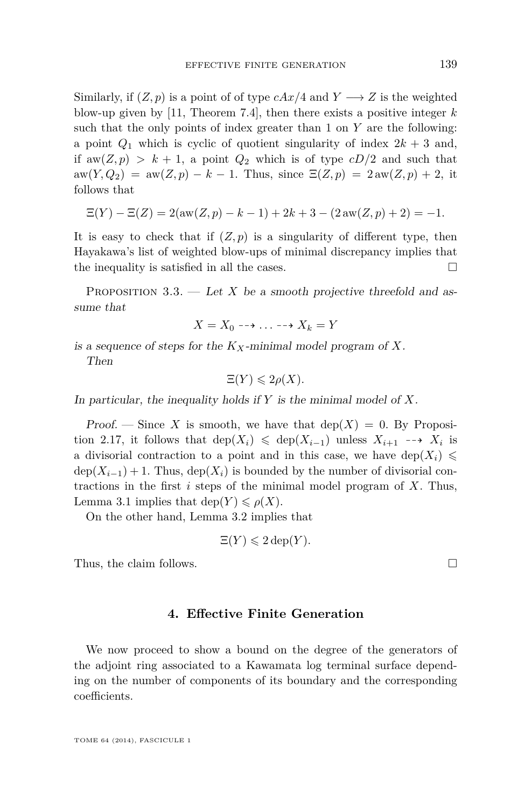<span id="page-13-0"></span>Similarly, if  $(Z, p)$  is a point of of type  $cAx/4$  and  $Y \longrightarrow Z$  is the weighted blow-up given by [\[11,](#page-17-0) Theorem 7.4], then there exists a positive integer *k* such that the only points of index greater than 1 on *Y* are the following: a point  $Q_1$  which is cyclic of quotient singularity of index  $2k + 3$  and, if  $aw(Z, p) > k + 1$ , a point  $Q_2$  which is of type  $cD/2$  and such that  $aw(Y,Q_2) = aw(Z,p) - k - 1$ . Thus, since  $\Xi(Z,p) = 2 aw(Z,p) + 2$ , it follows that

$$
\Xi(Y) - \Xi(Z) = 2(\text{aw}(Z, p) - k - 1) + 2k + 3 - (2\text{aw}(Z, p) + 2) = -1.
$$

It is easy to check that if  $(Z, p)$  is a singularity of different type, then Hayakawa's list of weighted blow-ups of minimal discrepancy implies that the inequality is satisfied in all the cases.  $\Box$ 

PROPOSITION  $3.3.$  — Let *X* be a smooth projective threefold and assume that

$$
X = X_0 \dashrightarrow \ldots \dashrightarrow X_k = Y
$$

is a sequence of steps for the *KX*-minimal model program of *X*.

Then

$$
\Xi(Y) \leqslant 2\rho(X).
$$

In particular, the inequality holds if *Y* is the minimal model of *X*.

Proof. — Since X is smooth, we have that  $dep(X) = 0$ . By Proposi-tion [2.17,](#page-11-0) it follows that  $\text{dep}(X_i) \leq \text{dep}(X_{i-1})$  unless  $X_{i+1} \longrightarrow X_i$  is a divisorial contraction to a point and in this case, we have dep $(X_i) \leq$  $\text{dep}(X_{i-1}) + 1$ . Thus,  $\text{dep}(X_i)$  is bounded by the number of divisorial contractions in the first *i* steps of the minimal model program of *X*. Thus, Lemma [3.1](#page-11-0) implies that dep( $Y$ )  $\leq \rho(X)$ .

On the other hand, Lemma [3.2](#page-12-0) implies that

$$
\Xi(Y) \leqslant 2 \operatorname{dep}(Y).
$$

Thus, the claim follows.

#### **4. Effective Finite Generation**

We now proceed to show a bound on the degree of the generators of the adjoint ring associated to a Kawamata log terminal surface depending on the number of components of its boundary and the corresponding coefficients.

TOME 64 (2014), FASCICULE 1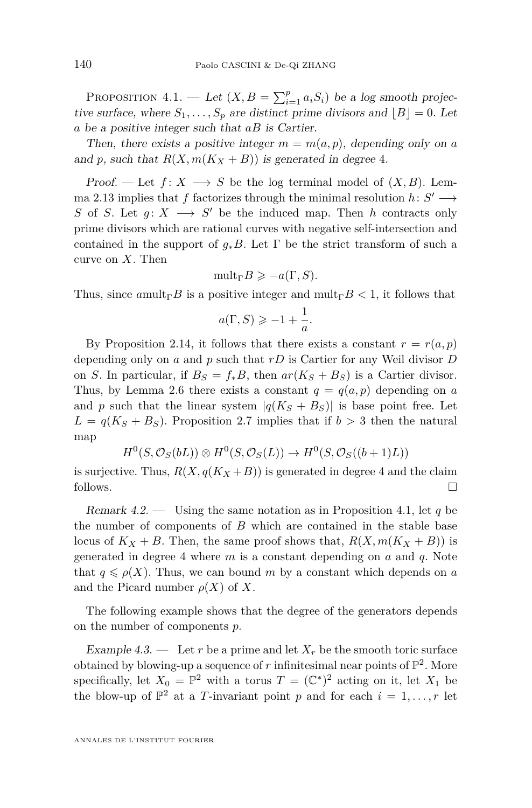<span id="page-14-0"></span>PROPOSITION  $4.1.$  — Let  $(X, B = \sum_{i=1}^{p} a_i S_i)$  be a log smooth projective surface, where  $S_1, \ldots, S_p$  are distinct prime divisors and  $\lfloor B \rfloor = 0$ . Let *a* be a positive integer such that *aB* is Cartier.

Then, there exists a positive integer  $m = m(a, p)$ , depending only on *a* and *p*, such that  $R(X, m(K_X + B))$  is generated in degree 4.

Proof. — Let  $f: X \longrightarrow S$  be the log terminal model of  $(X, B)$ . Lem-ma [2.13](#page-9-0) implies that *f* factorizes through the minimal resolution  $h: S' \longrightarrow$ *S* of *S*. Let  $g: X \longrightarrow S'$  be the induced map. Then *h* contracts only prime divisors which are rational curves with negative self-intersection and contained in the support of  $q_*B$ . Let  $\Gamma$  be the strict transform of such a curve on *X*. Then

$$
\mathrm{mult}_{\Gamma}B\geqslant -a(\Gamma,S).
$$

Thus, since  $a_{\text{mult}}\Gamma B$  is a positive integer and  $\text{mult}_{\Gamma} B < 1$ , it follows that

$$
a(\Gamma, S) \geqslant -1 + \frac{1}{a}.
$$

By Proposition [2.14,](#page-9-0) it follows that there exists a constant  $r = r(a, p)$ depending only on *a* and *p* such that *rD* is Cartier for any Weil divisor *D* on *S*. In particular, if  $B_S = f_*B$ , then  $ar(K_S + B_S)$  is a Cartier divisor. Thus, by Lemma [2.6](#page-6-0) there exists a constant  $q = q(a, p)$  depending on *a* and *p* such that the linear system  $|q(K_S + B_S)|$  is base point free. Let  $L = q(K_S + B_S)$ . Proposition [2.7](#page-6-0) implies that if  $b > 3$  then the natural map

$$
H^0(S, \mathcal{O}_S(bL)) \otimes H^0(S, \mathcal{O}_S(L)) \to H^0(S, \mathcal{O}_S((b+1)L))
$$

is surjective. Thus,  $R(X, q(K_X + B))$  is generated in degree 4 and the claim follows.  $\Box$ 

Remark 4.2. — Using the same notation as in Proposition 4.1, let *q* be the number of components of *B* which are contained in the stable base locus of  $K_X + B$ . Then, the same proof shows that,  $R(X, m(K_X + B))$  is generated in degree 4 where *m* is a constant depending on *a* and *q*. Note that  $q \leq \rho(X)$ . Thus, we can bound *m* by a constant which depends on *a* and the Picard number  $\rho(X)$  of X.

The following example shows that the degree of the generators depends on the number of components *p*.

Example 4.3. — Let r be a prime and let  $X_r$  be the smooth toric surface obtained by blowing-up a sequence of  $r$  infinitesimal near points of  $\mathbb{P}^2$ . More specifically, let  $X_0 = \mathbb{P}^2$  with a torus  $T = (\mathbb{C}^*)^2$  acting on it, let  $X_1$  be the blow-up of  $\mathbb{P}^2$  at a *T*-invariant point *p* and for each  $i = 1, ..., r$  let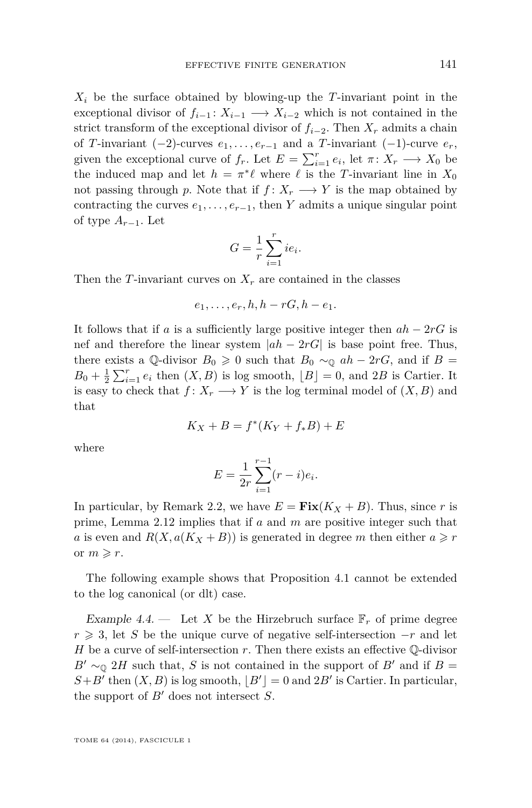*X<sup>i</sup>* be the surface obtained by blowing-up the *T*-invariant point in the exceptional divisor of  $f_{i-1}: X_{i-1} \longrightarrow X_{i-2}$  which is not contained in the strict transform of the exceptional divisor of  $f_{i-2}$ . Then  $X_r$  admits a chain of *T*-invariant  $(-2)$ -curves  $e_1, \ldots, e_{r-1}$  and a *T*-invariant  $(-1)$ -curve  $e_r$ , given the exceptional curve of  $f_r$ . Let  $E = \sum_{i=1}^r e_i$ , let  $\pi \colon X_r \longrightarrow X_0$  be the induced map and let  $h = \pi^* \ell$  where  $\ell$  is the *T*-invariant line in  $X_0$ not passing through *p*. Note that if  $f: X_r \longrightarrow Y$  is the map obtained by contracting the curves  $e_1, \ldots, e_{r-1}$ , then *Y* admits a unique singular point of type *Ar*−1. Let

$$
G = \frac{1}{r} \sum_{i=1}^{r} ie_i.
$$

Then the *T*-invariant curves on  $X_r$  are contained in the classes

$$
e_1,\ldots,e_r,h,h-rG,h-e_1.
$$

It follows that if *a* is a sufficiently large positive integer then  $ah - 2rG$  is nef and therefore the linear system  $|ah - 2rG|$  is base point free. Thus, there exists a Q-divisor  $B_0 \ge 0$  such that  $B_0 \sim_{\mathbb{Q}} ah - 2rG$ , and if  $B =$  $B_0 + \frac{1}{2} \sum_{i=1}^r e_i$  then  $(X, B)$  is log smooth,  $\lfloor B \rfloor = 0$ , and 2*B* is Cartier. It is easy to check that  $f: X_r \longrightarrow Y$  is the log terminal model of  $(X, B)$  and that

$$
K_X + B = f^*(K_Y + f_*B) + E
$$

where

$$
E = \frac{1}{2r} \sum_{i=1}^{r-1} (r-i)e_i.
$$

In particular, by Remark [2.2,](#page-4-0) we have  $E = \textbf{Fix}(K_X + B)$ . Thus, since r is prime, Lemma [2.12](#page-9-0) implies that if *a* and *m* are positive integer such that *a* is even and  $R(X, a(K_X + B))$  is generated in degree *m* then either  $a \geq r$ or  $m \geq r$ .

The following example shows that Proposition [4.1](#page-14-0) cannot be extended to the log canonical (or dlt) case.

Example 4.4. — Let X be the Hirzebruch surface  $\mathbb{F}_r$  of prime degree *r* ≥ 3, let *S* be the unique curve of negative self-intersection  $-r$  and let *H* be a curve of self-intersection *r*. Then there exists an effective Q-divisor  $B' \sim_{\mathbb{Q}} 2H$  such that, *S* is not contained in the support of *B*<sup> $\prime$ </sup> and if *B* =  $S + B'$  then  $(X, B)$  is log smooth,  $|B'| = 0$  and  $2B'$  is Cartier. In particular, the support of  $B'$  does not intersect  $S$ .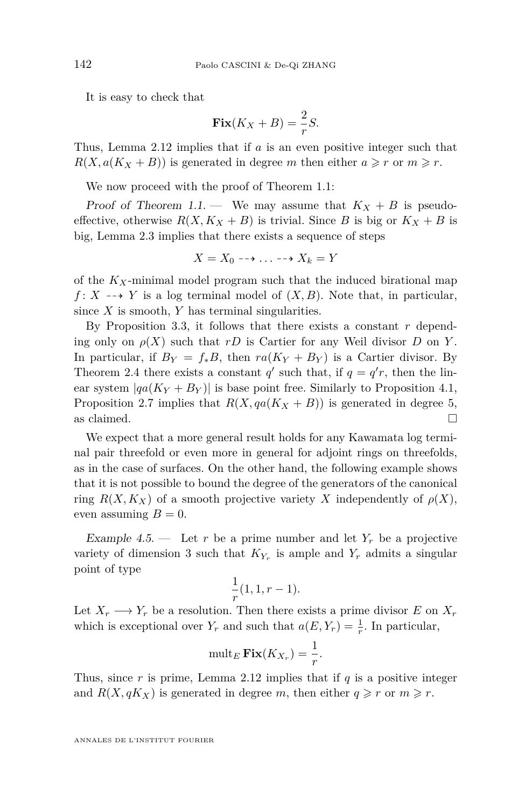It is easy to check that

$$
\mathbf{Fix}(K_X + B) = \frac{2}{r}S.
$$

Thus, Lemma [2.12](#page-9-0) implies that if *a* is an even positive integer such that  $R(X, a(K_X + B))$  is generated in degree *m* then either  $a \geq r$  or  $m \geq r$ .

We now proceed with the proof of Theorem [1.1:](#page-2-0)

Proof of Theorem [1.1.](#page-2-0) — We may assume that  $K_X + B$  is pseudoeffective, otherwise  $R(X, K_X + B)$  is trivial. Since *B* is big or  $K_X + B$  is big, Lemma [2.3](#page-4-0) implies that there exists a sequence of steps

$$
X = X_0 \dashrightarrow \ldots \dashrightarrow X_k = Y
$$

of the *KX*-minimal model program such that the induced birational map *f* : *X*  $\rightarrow$  *Y* is a log terminal model of  $(X, B)$ . Note that, in particular, since *X* is smooth, *Y* has terminal singularities.

By Proposition [3.3,](#page-13-0) it follows that there exists a constant *r* depending only on  $\rho(X)$  such that *rD* is Cartier for any Weil divisor *D* on *Y*. In particular, if  $B_Y = f_*B$ , then  $ra(K_Y + B_Y)$  is a Cartier divisor. By Theorem [2.4](#page-5-0) there exists a constant  $q'$  such that, if  $q = q'r$ , then the linear system  $|qa(K_Y + B_Y)|$  is base point free. Similarly to Proposition [4.1,](#page-14-0) Proposition [2.7](#page-6-0) implies that  $R(X, qa(K_X + B))$  is generated in degree 5, as claimed.  $\Box$ 

We expect that a more general result holds for any Kawamata log terminal pair threefold or even more in general for adjoint rings on threefolds, as in the case of surfaces. On the other hand, the following example shows that it is not possible to bound the degree of the generators of the canonical ring  $R(X, K_X)$  of a smooth projective variety X independently of  $\rho(X)$ , even assuming  $B=0$ .

Example 4.5.  $\qquad$  Let *r* be a prime number and let  $Y_r$  be a projective variety of dimension 3 such that *K<sup>Y</sup><sup>r</sup>* is ample and *Y<sup>r</sup>* admits a singular point of type

$$
\frac{1}{r}(1,1,r-1).
$$

Let  $X_r \longrightarrow Y_r$  be a resolution. Then there exists a prime divisor *E* on  $X_r$ which is exceptional over  $Y_r$  and such that  $a(E, Y_r) = \frac{1}{r}$ . In particular,

$$
\operatorname{mult}_E \mathbf{Fix}(K_{X_r}) = \frac{1}{r}.
$$

Thus, since  $r$  is prime, Lemma [2.12](#page-9-0) implies that if  $q$  is a positive integer and  $R(X, qK_X)$  is generated in degree *m*, then either  $q \geq r$  or  $m \geq r$ .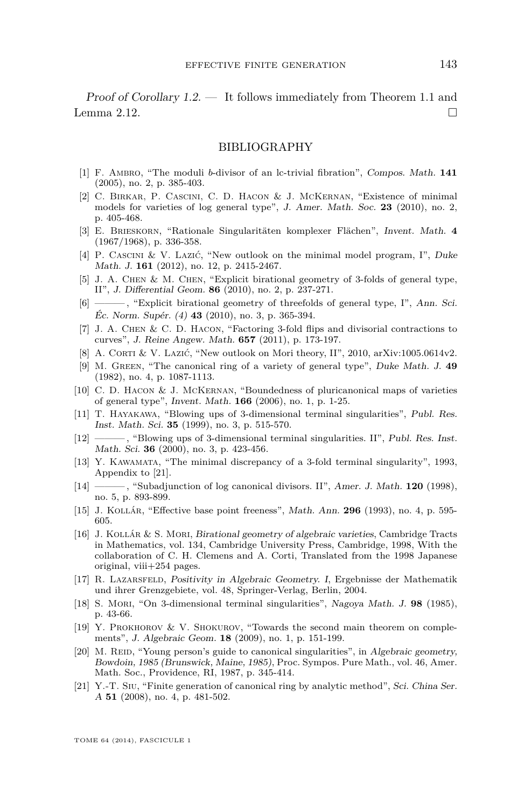<span id="page-17-0"></span>Proof of Corollary [1.2.](#page-2-0) — It follows immediately from Theorem [1.1](#page-2-0) and Lemma [2.12.](#page-9-0)

#### BIBLIOGRAPHY

- [1] F. Ambro, "The moduli *b*-divisor of an lc-trivial fibration", Compos. Math. **141** (2005), no. 2, p. 385-403.
- [2] C. Birkar, P. Cascini, C. D. Hacon & J. McKernan, "Existence of minimal models for varieties of log general type", J. Amer. Math. Soc. **23** (2010), no. 2, p. 405-468.
- [3] E. Brieskorn, "Rationale Singularitäten komplexer Flächen", Invent. Math. **4** (1967/1968), p. 336-358.
- [4] P. Cascini & V. Lazić, "New outlook on the minimal model program, I", Duke Math. J. **161** (2012), no. 12, p. 2415-2467.
- [5] J. A. Chen & M. Chen, "Explicit birational geometry of 3-folds of general type, II", J. Differential Geom. **86** (2010), no. 2, p. 237-271.
- [6] ——— , "Explicit birational geometry of threefolds of general type, I", Ann. Sci. Éc. Norm. Supér. (4) **43** (2010), no. 3, p. 365-394.
- [7] J. A. Chen & C. D. Hacon, "Factoring 3-fold flips and divisorial contractions to curves", J. Reine Angew. Math. **657** (2011), p. 173-197.
- [8] A. CORTI & V. LAZIĆ, "New outlook on Mori theory, II", 2010, arXiv:1005.0614v2.
- [9] M. Green, "The canonical ring of a variety of general type", Duke Math. J. **49** (1982), no. 4, p. 1087-1113.
- [10] C. D. Hacon & J. McKernan, "Boundedness of pluricanonical maps of varieties of general type", Invent. Math. **166** (2006), no. 1, p. 1-25.
- [11] T. Hayakawa, "Blowing ups of 3-dimensional terminal singularities", Publ. Res. Inst. Math. Sci. **35** (1999), no. 3, p. 515-570.
- $\hspace{0.1em}$ , "Blowing ups of 3-dimensional terminal singularities. II", Publ. Res. Inst. Math. Sci. **36** (2000), no. 3, p. 423-456.
- [13] Y. Kawamata, "The minimal discrepancy of a 3-fold terminal singularity", 1993, Appendix to [21].
- [14] ——— , "Subadjunction of log canonical divisors. II", Amer. J. Math. **120** (1998), no. 5, p. 893-899.
- [15] J. Kollár, "Effective base point freeness", Math. Ann. **296** (1993), no. 4, p. 595- 605.
- [16] J. Kollár & S. Mori, Birational geometry of algebraic varieties, Cambridge Tracts in Mathematics, vol. 134, Cambridge University Press, Cambridge, 1998, With the collaboration of C. H. Clemens and A. Corti, Translated from the 1998 Japanese original, viii+254 pages.
- [17] R. Lazarsfeld, Positivity in Algebraic Geometry. I, Ergebnisse der Mathematik und ihrer Grenzgebiete, vol. 48, Springer-Verlag, Berlin, 2004.
- [18] S. Mori, "On 3-dimensional terminal singularities", Nagoya Math. J. **98** (1985), p. 43-66.
- [19] Y. Prokhorov & V. Shokurov, "Towards the second main theorem on complements", J. Algebraic Geom. **18** (2009), no. 1, p. 151-199.
- [20] M. REID, "Young person's guide to canonical singularities", in Algebraic geometry, Bowdoin, 1985 (Brunswick, Maine, 1985), Proc. Sympos. Pure Math., vol. 46, Amer. Math. Soc., Providence, RI, 1987, p. 345-414.
- [21] Y.-T. Siu, "Finite generation of canonical ring by analytic method", Sci. China Ser. A **51** (2008), no. 4, p. 481-502.